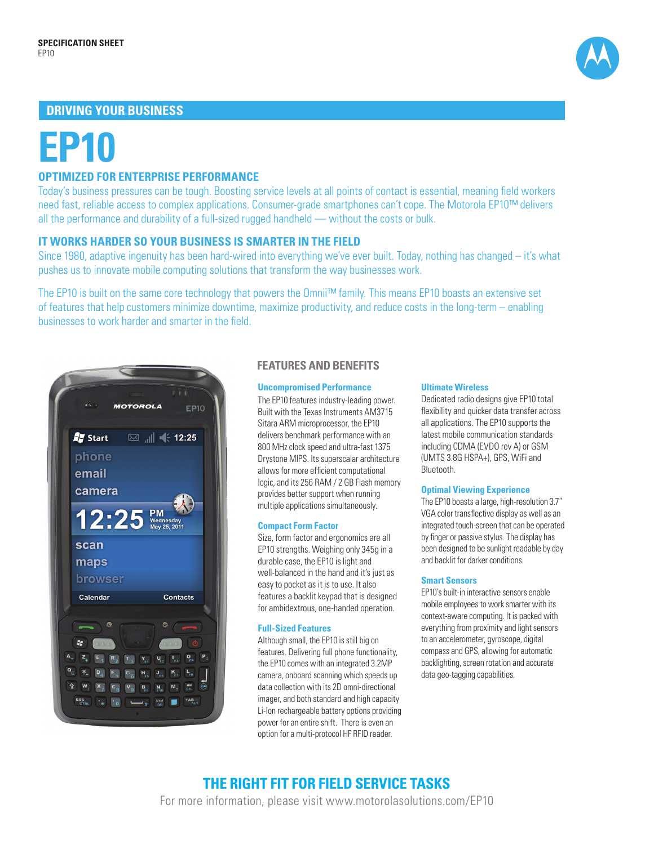# **DRIVING YOUR BUSINESS**



# **EP10**

# **OPTIMIZED FOR ENTERPRISE PERFORMANCE**

Today's business pressures can be tough. Boosting service levels at all points of contact is essential, meaning field workers need fast, reliable access to complex applications. Consumer-grade smartphones can't cope. The Motorola EP10™ delivers all the performance and durability of a full-sized rugged handheld — without the costs or bulk.

### **IT WORKS HARDER SO YOUR BUSINESS IS SMARTER IN THE FIELD**

Since 1980, adaptive ingenuity has been hard-wired into everything we've ever built. Today, nothing has changed – it's what pushes us to innovate mobile computing solutions that transform the way businesses work.

The EP10 is built on the same core technology that powers the Omnii™ family. This means EP10 boasts an extensive set of features that help customers minimize downtime, maximize productivity, and reduce costs in the long-term – enabling businesses to work harder and smarter in the field.



## **FEATURES AND BENEFITS**

#### **Uncompromised Performance**

The EP10 features industry-leading power. Built with the Texas Instruments AM3715 Sitara ARM microprocessor, the EP10 delivers benchmark performance with an 800 MHz clock speed and ultra-fast 1375 Drystone MIPS. Its superscalar architecture allows for more efficient computational logic, and its 256 RAM / 2 GB Flash memory provides better support when running multiple applications simultaneously.

#### **Compact Form Factor**

Size, form factor and ergonomics are all EP10 strengths. Weighing only 345g in a durable case, the EP10 is light and well-balanced in the hand and it's just as easy to pocket as it is to use. It also features a backlit keypad that is designed for ambidextrous, one-handed operation.

#### **Full-Sized Features**

Although small, the EP10 is still big on features. Delivering full phone functionality, the EP10 comes with an integrated 3.2MP camera, onboard scanning which speeds up data collection with its 2D omni-directional imager, and both standard and high capacity Li-Ion rechargeable battery options providing power for an entire shift. There is even an option for a multi-protocol HF RFID reader.

#### **Ultimate Wireless**

Dedicated radio designs give EP10 total flexibility and quicker data transfer across all applications. The EP10 supports the latest mobile communication standards including CDMA (EVDO rev A) or GSM (UMTS 3.8G HSPA+), GPS, WiFi and Bluetooth.

#### **Optimal Viewing Experience**

The EP10 boasts a large, high-resolution 3.7" VGA color transflective display as well as an integrated touch-screen that can be operated by finger or passive stylus. The display has been designed to be sunlight readable by day and backlit for darker conditions.

#### **Smart Sensors**

EP10's built-in interactive sensors enable mobile employees to work smarter with its context-aware computing. It is packed with everything from proximity and light sensors to an accelerometer, gyroscope, digital compass and GPS, allowing for automatic backlighting, screen rotation and accurate data geo-tagging capabilities.